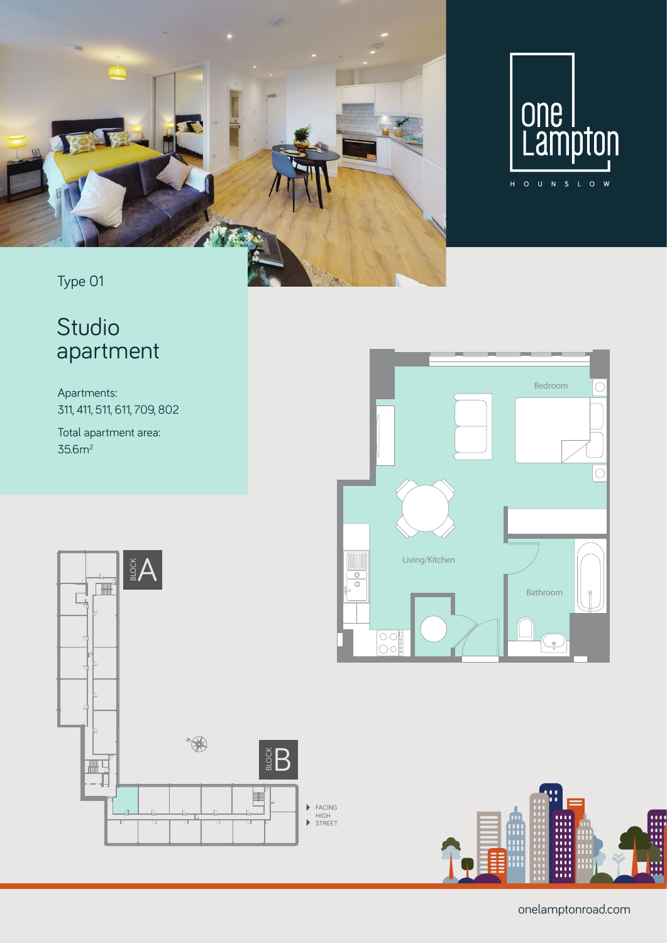

**Studio - Type 11 and 12 and 12 and 12 and 12 and 12 and 12 and 12 and 12 and 12 and 12 and 12 and 12 and 12 and 12** 



### Type 01

## Studio apartment

Apartments: 311, 411, 511, 611, 709, 802

Total apartment area: 35.6m2







onelamptonroad.com